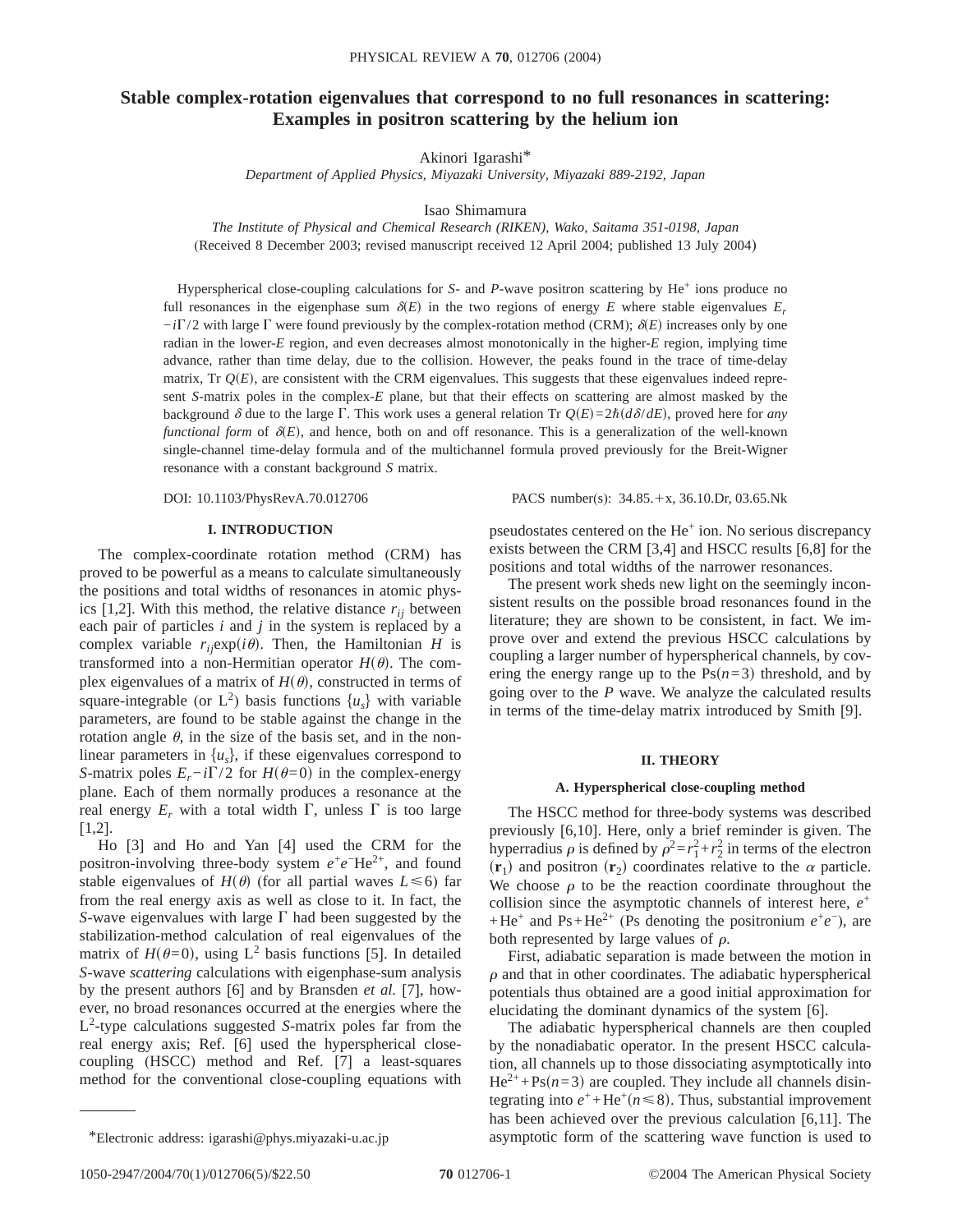# **Stable complex-rotation eigenvalues that correspond to no full resonances in scattering: Examples in positron scattering by the helium ion**

Akinori Igarashi\*

*Department of Applied Physics, Miyazaki University, Miyazaki 889-2192, Japan*

Isao Shimamura

*The Institute of Physical and Chemical Research (RIKEN), Wako, Saitama 351-0198, Japan* (Received 8 December 2003; revised manuscript received 12 April 2004; published 13 July 2004)

Hyperspherical close-coupling calculations for *S*- and *P*-wave positron scattering by He<sup>+</sup> ions produce no full resonances in the eigenphase sum  $\delta(E)$  in the two regions of energy *E* where stable eigenvalues  $E_r$  $-i\Gamma/2$  with large  $\Gamma$  were found previously by the complex-rotation method (CRM);  $\delta(E)$  increases only by one radian in the lower-*E* region, and even decreases almost monotonically in the higher-*E* region, implying time advance, rather than time delay, due to the collision. However, the peaks found in the trace of time-delay matrix, Tr  $Q(E)$ , are consistent with the CRM eigenvalues. This suggests that these eigenvalues indeed represent *S*-matrix poles in the complex-*E* plane, but that their effects on scattering are almost masked by the background  $\delta$  due to the large  $\Gamma$ . This work uses a general relation Tr  $Q(E)=2\hbar(d\delta/dE)$ , proved here for *any functional form* of  $\delta(E)$ , and hence, both on and off resonance. This is a generalization of the well-known single-channel time-delay formula and of the multichannel formula proved previously for the Breit-Wigner resonance with a constant background *S* matrix.

## **I. INTRODUCTION**

The complex-coordinate rotation method (CRM) has proved to be powerful as a means to calculate simultaneously the positions and total widths of resonances in atomic physics  $[1,2]$ . With this method, the relative distance  $r_{ij}$  between each pair of particles *i* and *j* in the system is replaced by a complex variable  $r_{ij}$ exp( $i\theta$ ). Then, the Hamiltonian *H* is transformed into a non-Hermitian operator  $H(\theta)$ . The complex eigenvalues of a matrix of  $H(\theta)$ , constructed in terms of square-integrable (or  $L^2$ ) basis functions  $\{u_s\}$  with variable parameters, are found to be stable against the change in the rotation angle  $\theta$ , in the size of the basis set, and in the nonlinear parameters in  $\{u_s\}$ , if these eigenvalues correspond to *S*-matrix poles  $E_r - i\Gamma/2$  for  $H(\theta=0)$  in the complex-energy plane. Each of them normally produces a resonance at the real energy  $E_r$  with a total width  $\Gamma$ , unless  $\Gamma$  is too large [1,2].

Ho [3] and Ho and Yan [4] used the CRM for the positron-involving three-body system  $e^+e^-$ He<sup>2+</sup>, and found stable eigenvalues of  $H(\theta)$  (for all partial waves  $L \le 6$ ) far from the real energy axis as well as close to it. In fact, the *S*-wave eigenvalues with large  $\Gamma$  had been suggested by the stabilization-method calculation of real eigenvalues of the matrix of  $H(\theta=0)$ , using L<sup>2</sup> basis functions [5]. In detailed *S*-wave *scattering* calculations with eigenphase-sum analysis by the present authors [6] and by Bransden *et al.* [7], however, no broad resonances occurred at the energies where the L2 -type calculations suggested *S*-matrix poles far from the real energy axis; Ref. [6] used the hyperspherical closecoupling (HSCC) method and Ref. [7] a least-squares method for the conventional close-coupling equations with

DOI: 10.1103/PhysRevA.70.012706 PACS number(s): 34.85.+x, 36.10.Dr, 03.65.Nk

pseudostates centered on the He<sup>+</sup> ion. No serious discrepancy exists between the CRM [3,4] and HSCC results [6,8] for the positions and total widths of the narrower resonances.

The present work sheds new light on the seemingly inconsistent results on the possible broad resonances found in the literature; they are shown to be consistent, in fact. We improve over and extend the previous HSCC calculations by coupling a larger number of hyperspherical channels, by covering the energy range up to the  $Ps(n=3)$  threshold, and by going over to the *P* wave. We analyze the calculated results in terms of the time-delay matrix introduced by Smith [9].

# **II. THEORY**

#### **A. Hyperspherical close-coupling method**

The HSCC method for three-body systems was described previously [6,10]. Here, only a brief reminder is given. The hyperradius  $\rho$  is defined by  $\rho^2 = r_1^2 + r_2^2$  in terms of the electron  $(\mathbf{r}_1)$  and positron  $(\mathbf{r}_2)$  coordinates relative to the  $\alpha$  particle. We choose  $\rho$  to be the reaction coordinate throughout the collision since the asymptotic channels of interest here, *e*<sup>+</sup> +He<sup>+</sup> and Ps+He<sup>2+</sup> (Ps denoting the positronium  $e^+e^-$ ), are both represented by large values of  $\rho$ .

First, adiabatic separation is made between the motion in  $\rho$  and that in other coordinates. The adiabatic hyperspherical potentials thus obtained are a good initial approximation for elucidating the dominant dynamics of the system [6].

The adiabatic hyperspherical channels are then coupled by the nonadiabatic operator. In the present HSCC calculation, all channels up to those dissociating asymptotically into  $He^{2+} + Ps(n=3)$  are coupled. They include all channels disintegrating into  $e^+$ +He<sup>+</sup> $(n \leq 8)$ . Thus, substantial improvement has been achieved over the previous calculation [6,11]. The \*Electronic address: igarashi@phys.miyazaki-u.ac.jp asymptotic form of the scattering wave function is used to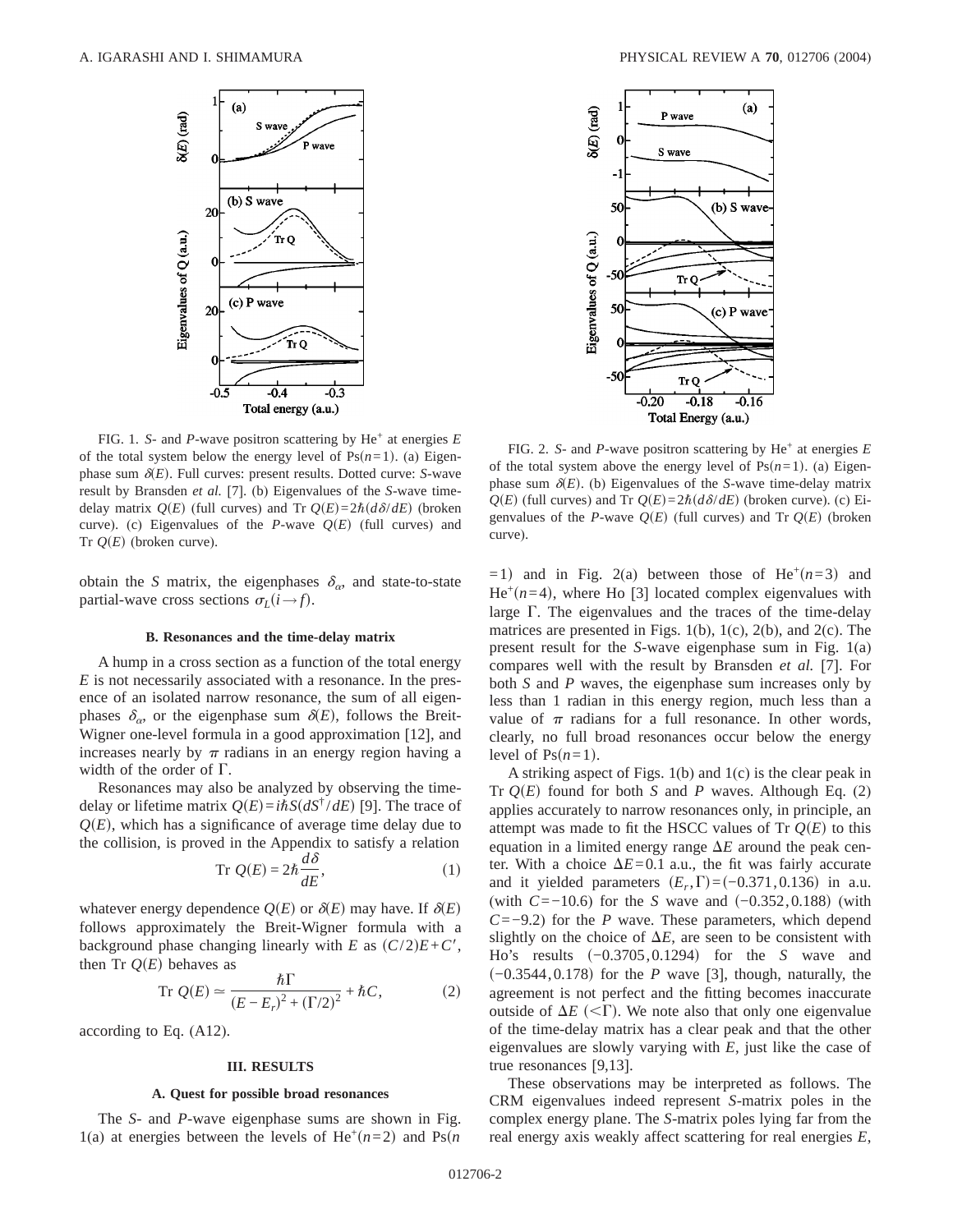

FIG. 1. *S*- and *P*-wave positron scattering by He+ at energies *E* of the total system below the energy level of  $Ps(n=1)$ . (a) Eigenphase sum  $\delta(E)$ . Full curves: present results. Dotted curve: *S*-wave result by Bransden *et al.* [7]. (b) Eigenvalues of the *S*-wave timedelay matrix  $Q(E)$  (full curves) and Tr  $Q(E) = 2\hbar (d\delta/dE)$  (broken curve). (c) Eigenvalues of the *P*-wave  $Q(E)$  (full curves) and Tr  $Q(E)$  (broken curve).

obtain the *S* matrix, the eigenphases  $\delta_{\alpha}$ , and state-to-state partial-wave cross sections  $\sigma_L(i \rightarrow f)$ .

### **B. Resonances and the time-delay matrix**

A hump in a cross section as a function of the total energy *E* is not necessarily associated with a resonance. In the presence of an isolated narrow resonance, the sum of all eigenphases  $\delta_{\alpha}$ , or the eigenphase sum  $\delta(E)$ , follows the Breit-Wigner one-level formula in a good approximation [12], and increases nearly by  $\pi$  radians in an energy region having a width of the order of  $\Gamma$ .

Resonances may also be analyzed by observing the timedelay or lifetime matrix  $Q(E) = i\hbar S(dS^{\dagger}/dE)$  [9]. The trace of  $Q(E)$ , which has a significance of average time delay due to the collision, is proved in the Appendix to satisfy a relation

$$
\operatorname{Tr} Q(E) = 2\hbar \frac{d\delta}{dE},\tag{1}
$$

whatever energy dependence  $Q(E)$  or  $\delta(E)$  may have. If  $\delta(E)$ follows approximately the Breit-Wigner formula with a background phase changing linearly with *E* as  $(C/2)E + C'$ , then Tr  $Q(E)$  behaves as

$$
\operatorname{Tr} Q(E) \simeq \frac{\hbar \Gamma}{(E - E_r)^2 + (\Gamma/2)^2} + \hbar C,\tag{2}
$$

according to Eq. (A12).

#### **III. RESULTS**

#### **A. Quest for possible broad resonances**

The *S*- and *P*-wave eigenphase sums are shown in Fig. 1(a) at energies between the levels of He<sup>+</sup> $(n=2)$  and Ps $(n=1)$ 



FIG. 2. *S*- and *P*-wave positron scattering by  $He^+$  at energies  $E$ of the total system above the energy level of  $Ps(n=1)$ . (a) Eigenphase sum  $\delta(E)$ . (b) Eigenvalues of the *S*-wave time-delay matrix  $Q(E)$  (full curves) and Tr  $Q(E) = 2\hbar (d\delta/dE)$  (broken curve). (c) Eigenvalues of the *P*-wave  $Q(E)$  (full curves) and Tr  $Q(E)$  (broken curve).

 $=1$ ) and in Fig. 2(a) between those of He<sup>+</sup> $(n=3)$  and  $He^{+}(n=4)$ , where Ho [3] located complex eigenvalues with large  $\Gamma$ . The eigenvalues and the traces of the time-delay matrices are presented in Figs. 1(b), 1(c), 2(b), and 2(c). The present result for the *S*-wave eigenphase sum in Fig. 1(a) compares well with the result by Bransden *et al.* [7]. For both *S* and *P* waves, the eigenphase sum increases only by less than 1 radian in this energy region, much less than a value of  $\pi$  radians for a full resonance. In other words, clearly, no full broad resonances occur below the energy level of  $Ps(n=1)$ .

A striking aspect of Figs. 1(b) and 1(c) is the clear peak in Tr  $Q(E)$  found for both *S* and *P* waves. Although Eq. (2) applies accurately to narrow resonances only, in principle, an attempt was made to fit the HSCC values of Tr  $Q(E)$  to this equation in a limited energy range  $\Delta E$  around the peak center. With a choice  $\Delta E = 0.1$  a.u., the fit was fairly accurate and it yielded parameters  $(E_r, \Gamma) = (-0.371, 0.136)$  in a.u. (with  $C=-10.6$ ) for the *S* wave and  $(-0.352,0.188)$  (with *C*=−9.2) for the *P* wave. These parameters, which depend slightly on the choice of  $\Delta E$ , are seen to be consistent with Ho's results (−0.3705,0.1294) for the *S* wave and s−0.3544,0.178d for the *P* wave [3], though, naturally, the agreement is not perfect and the fitting becomes inaccurate outside of  $\Delta E$  (<T). We note also that only one eigenvalue of the time-delay matrix has a clear peak and that the other eigenvalues are slowly varying with *E*, just like the case of true resonances [9,13].

These observations may be interpreted as follows. The CRM eigenvalues indeed represent *S*-matrix poles in the complex energy plane. The *S*-matrix poles lying far from the real energy axis weakly affect scattering for real energies *E*,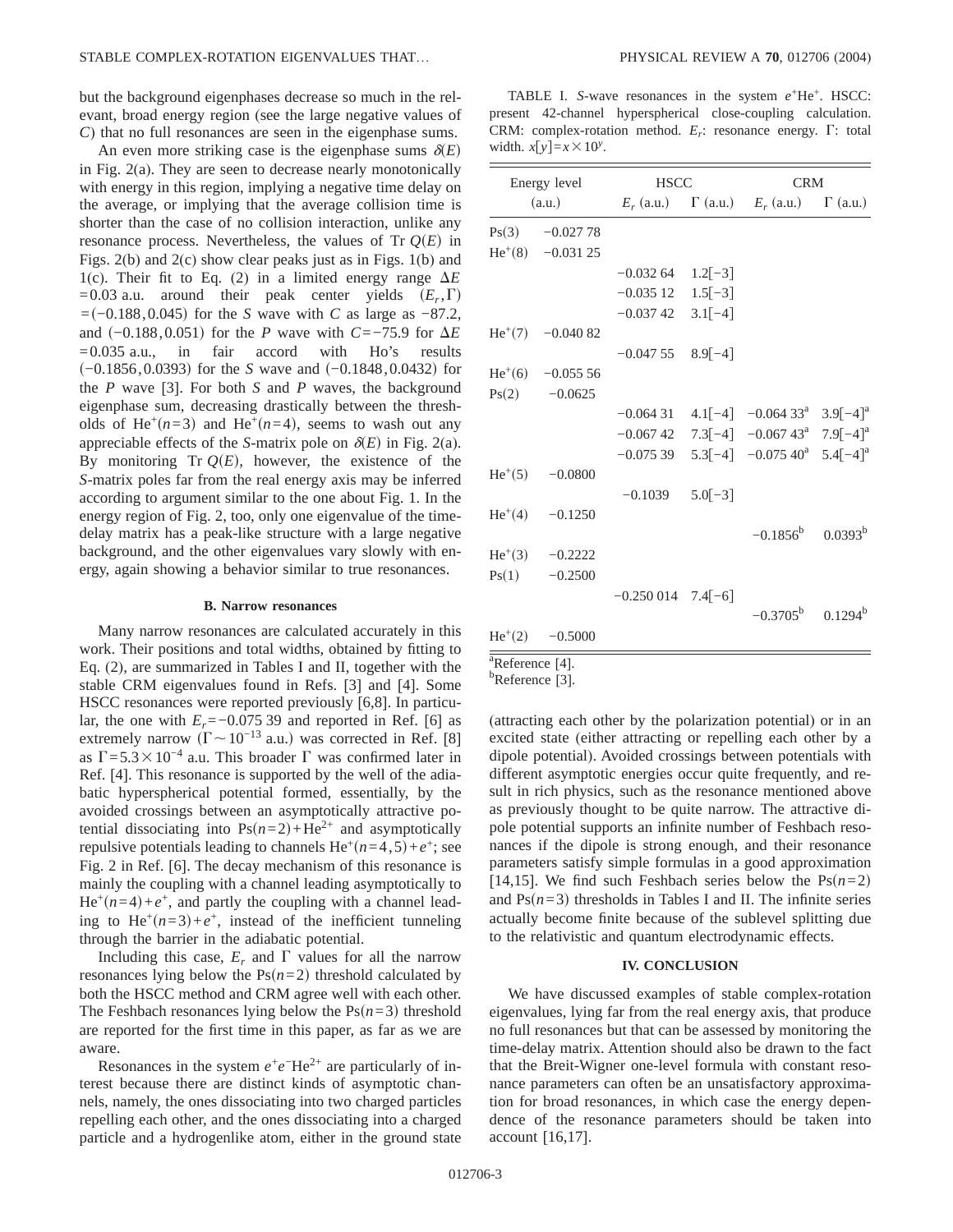but the background eigenphases decrease so much in the relevant, broad energy region (see the large negative values of *C*) that no full resonances are seen in the eigenphase sums.

An even more striking case is the eigenphase sums  $\delta(E)$ in Fig. 2(a). They are seen to decrease nearly monotonically with energy in this region, implying a negative time delay on the average, or implying that the average collision time is shorter than the case of no collision interaction, unlike any resonance process. Nevertheless, the values of  $Tr O(E)$  in Figs. 2(b) and 2(c) show clear peaks just as in Figs. 1(b) and 1(c). Their fit to Eq. (2) in a limited energy range  $\Delta E$  $=0.03$  a.u. around their peak center yields  $(E_r, \Gamma)$ =(−0.188,0.045) for the *S* wave with *C* as large as −87.2, and  $(-0.188,0.051)$  for the *P* wave with *C*=−75.9 for  $\Delta E$  $=0.035$  a.u., in fair accord with Ho's results (−0.1856,0.0393) for the *S* wave and (−0.1848,0.0432) for the *P* wave [3]. For both *S* and *P* waves, the background eigenphase sum, decreasing drastically between the thresholds of He<sup>+</sup> $(n=3)$  and He<sup>+</sup> $(n=4)$ , seems to wash out any appreciable effects of the *S*-matrix pole on  $\delta(E)$  in Fig. 2(a). By monitoring Tr  $Q(E)$ , however, the existence of the *S*-matrix poles far from the real energy axis may be inferred according to argument similar to the one about Fig. 1. In the energy region of Fig. 2, too, only one eigenvalue of the timedelay matrix has a peak-like structure with a large negative background, and the other eigenvalues vary slowly with energy, again showing a behavior similar to true resonances.

#### **B. Narrow resonances**

Many narrow resonances are calculated accurately in this work. Their positions and total widths, obtained by fitting to Eq. (2), are summarized in Tables I and II, together with the stable CRM eigenvalues found in Refs. [3] and [4]. Some HSCC resonances were reported previously [6,8]. In particular, the one with  $E_r$ =−0.075 39 and reported in Ref. [6] as extremely narrow  $(\Gamma \sim 10^{-13} \text{ a.u.})$  was corrected in Ref. [8] as  $\Gamma$ =5.3×10<sup>-4</sup> a.u. This broader  $\Gamma$  was confirmed later in Ref. [4]. This resonance is supported by the well of the adiabatic hyperspherical potential formed, essentially, by the avoided crossings between an asymptotically attractive potential dissociating into  $Ps(n=2) + He^{2+}$  and asymptotically repulsive potentials leading to channels  $He^+(n=4,5)+e^+$ ; see Fig. 2 in Ref. [6]. The decay mechanism of this resonance is mainly the coupling with a channel leading asymptotically to  $He^+(n=4)+e^+$ , and partly the coupling with a channel leading to He<sup>+</sup> $(n=3)+e^+$ , instead of the inefficient tunneling through the barrier in the adiabatic potential.

Including this case,  $E_r$  and  $\Gamma$  values for all the narrow resonances lying below the  $Ps(n=2)$  threshold calculated by both the HSCC method and CRM agree well with each other. The Feshbach resonances lying below the  $Ps(n=3)$  threshold are reported for the first time in this paper, as far as we are aware.

Resonances in the system  $e^+e^-$ He<sup>2+</sup> are particularly of interest because there are distinct kinds of asymptotic channels, namely, the ones dissociating into two charged particles repelling each other, and the ones dissociating into a charged particle and a hydrogenlike atom, either in the ground state

TABLE I. *S*-wave resonances in the system  $e^+$ He<sup>+</sup>. HSCC: present 42-channel hyperspherical close-coupling calculation. CRM: complex-rotation method.  $E_r$ : resonance energy.  $\Gamma$ : total width.  $x[y]=x\times10^y$ .

| Energy level<br>(a.u.)      |                        | <b>HSCC</b>            |  | <b>CRM</b>                                                            |  |
|-----------------------------|------------------------|------------------------|--|-----------------------------------------------------------------------|--|
|                             |                        |                        |  | $E_r$ (a.u.) $\Gamma$ (a.u.) $E_r$ (a.u.) $\Gamma$ (a.u.)             |  |
|                             | $Ps(3) \quad -0.02778$ |                        |  |                                                                       |  |
|                             | $He^{+}(8)$ -0.031 25  |                        |  |                                                                       |  |
|                             |                        | $-0.03264$ 1.2 $[-3]$  |  |                                                                       |  |
|                             |                        | $-0.035$ 12 $1.5[-3]$  |  |                                                                       |  |
|                             |                        | $-0.03742$ 3.1[-4]     |  |                                                                       |  |
|                             | $He+(7) -0.04082$      |                        |  |                                                                       |  |
|                             |                        | $-0.04755$ 8.9 $[-4]$  |  |                                                                       |  |
|                             | $He+(6) -0.05556$      |                        |  |                                                                       |  |
|                             | $Ps(2) \qquad -0.0625$ |                        |  |                                                                       |  |
|                             |                        |                        |  | $-0.064$ 31 $4.1[-4]$ $-0.064$ 33 <sup>a</sup> 3.9[-4] <sup>a</sup>   |  |
|                             |                        |                        |  | $-0.06742$ 7.3[-4] $-0.06743$ <sup>a</sup> 7.9[-4] <sup>a</sup>       |  |
|                             |                        |                        |  | $-0.075$ 39 $5.3[-4]$ $-0.075$ 40 <sup>a</sup> $5.4[-4]$ <sup>a</sup> |  |
|                             | $He^+(5)$ -0.0800      |                        |  |                                                                       |  |
|                             |                        | $-0.1039$ $5.0[-3]$    |  |                                                                       |  |
|                             | $He^+(4)$ -0.1250      |                        |  |                                                                       |  |
|                             |                        |                        |  | $-0.1856^b$ 0.0393 <sup>b</sup>                                       |  |
|                             | $He^{+}(3)$ -0.2222    |                        |  |                                                                       |  |
|                             | $Ps(1) \qquad -0.2500$ |                        |  |                                                                       |  |
|                             |                        | $-0.250014$ 7.4 $[-6]$ |  |                                                                       |  |
|                             |                        |                        |  | $-0.3705^b$ 0.1294 <sup>b</sup>                                       |  |
|                             | $He^{+}(2)$ -0.5000    |                        |  |                                                                       |  |
| $^{\circ}$ Reference [4].   |                        |                        |  |                                                                       |  |
| <sup>b</sup> Reference [3]. |                        |                        |  |                                                                       |  |

(attracting each other by the polarization potential) or in an excited state (either attracting or repelling each other by a dipole potential). Avoided crossings between potentials with different asymptotic energies occur quite frequently, and result in rich physics, such as the resonance mentioned above as previously thought to be quite narrow. The attractive dipole potential supports an infinite number of Feshbach resonances if the dipole is strong enough, and their resonance parameters satisfy simple formulas in a good approximation [14,15]. We find such Feshbach series below the  $Ps(n=2)$ and  $Ps(n=3)$  thresholds in Tables I and II. The infinite series actually become finite because of the sublevel splitting due to the relativistic and quantum electrodynamic effects.

# **IV. CONCLUSION**

We have discussed examples of stable complex-rotation eigenvalues, lying far from the real energy axis, that produce no full resonances but that can be assessed by monitoring the time-delay matrix. Attention should also be drawn to the fact that the Breit-Wigner one-level formula with constant resonance parameters can often be an unsatisfactory approximation for broad resonances, in which case the energy dependence of the resonance parameters should be taken into account [16,17].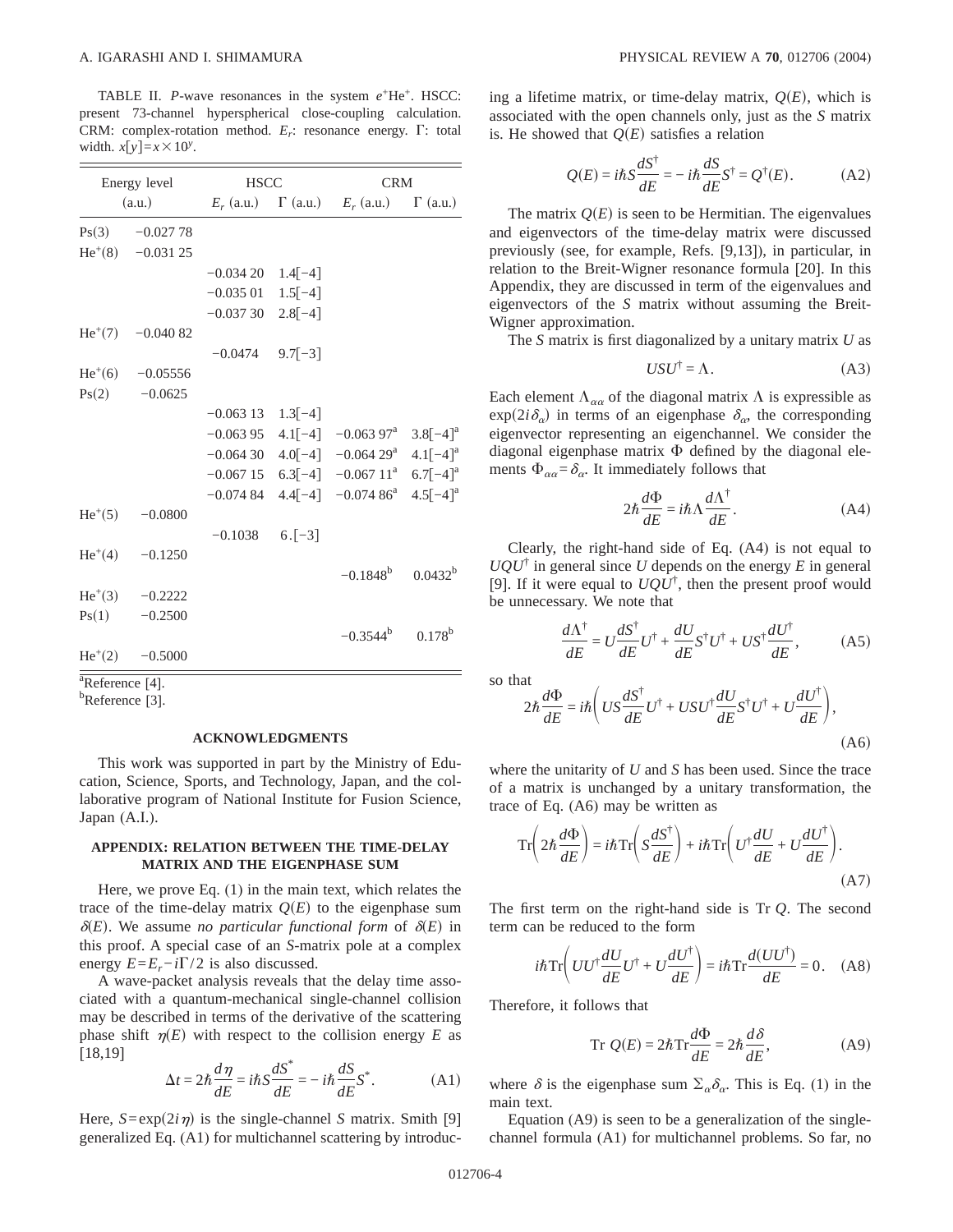TABLE II. *P*-wave resonances in the system  $e^+$ He<sup>+</sup>. HSCC: present 73-channel hyperspherical close-coupling calculation. CRM: complex-rotation method.  $E_r$ : resonance energy.  $\Gamma$ : total width.  $x[y]=x\times10^y$ .

| Energy level<br>(a.u.)            |                          | <b>HSCC</b>            |  | <b>CRM</b>                                                            |  |
|-----------------------------------|--------------------------|------------------------|--|-----------------------------------------------------------------------|--|
|                                   |                          |                        |  | $E_r$ (a.u.) $\Gamma$ (a.u.) $E_r$ (a.u.) $\Gamma$ (a.u.)             |  |
|                                   | $Ps(3) \qquad -0.02778$  |                        |  |                                                                       |  |
|                                   | $He^{+}(8)$ -0.031 25    |                        |  |                                                                       |  |
|                                   |                          | $-0.03420$ 1.4[-4]     |  |                                                                       |  |
|                                   |                          | $-0.035\ 01$ $1.5[-4]$ |  |                                                                       |  |
|                                   |                          | $-0.03730$ 2.8[-4]     |  |                                                                       |  |
|                                   | $He^{+}(7)$ -0.040 82    |                        |  |                                                                       |  |
|                                   |                          | $-0.0474$ 9.7 $[-3]$   |  |                                                                       |  |
|                                   | $He+(6)$ -0.05556        |                        |  |                                                                       |  |
| Ps(2)                             | $-0.0625$                |                        |  |                                                                       |  |
|                                   |                          | $-0.063$ 13 $1.3[-4]$  |  |                                                                       |  |
|                                   |                          |                        |  | $-0.06395$ 4.1[-4] $-0.06397$ <sup>a</sup> 3.8[-4] <sup>a</sup>       |  |
|                                   |                          |                        |  | $-0.064$ 30 $4.0[-4]$ $-0.064$ 29 <sup>a</sup> $4.1[-4]$ <sup>a</sup> |  |
|                                   |                          |                        |  | $-0.067$ 15 $6.3[-4]$ $-0.067$ 11 <sup>a</sup> $6.7[-4]$ <sup>a</sup> |  |
|                                   |                          |                        |  | $-0.07484$ 4.4[-4] $-0.07486$ <sup>a</sup> 4.5[-4] <sup>a</sup>       |  |
|                                   | $He^+(5)$ -0.0800        |                        |  |                                                                       |  |
|                                   |                          | $-0.1038$ 6.[-3]       |  |                                                                       |  |
|                                   | $He^+(4) \qquad -0.1250$ |                        |  |                                                                       |  |
|                                   |                          |                        |  | $-0.1848^b$ $0.0432^b$                                                |  |
|                                   | $He^{+}(3)$ -0.2222      |                        |  |                                                                       |  |
| Ps(1)                             | $-0.2500$                |                        |  |                                                                       |  |
|                                   |                          |                        |  | $-0.3544^b$ 0.178 <sup>b</sup>                                        |  |
|                                   | $He^{+}(2)$ -0.5000      |                        |  |                                                                       |  |
| $\sqrt[3]{\text{Reference}}$ [4]. |                          |                        |  |                                                                       |  |
| <sup>b</sup> Reference [3].       |                          |                        |  |                                                                       |  |

## **ACKNOWLEDGMENTS**

This work was supported in part by the Ministry of Education, Science, Sports, and Technology, Japan, and the collaborative program of National Institute for Fusion Science, Japan (A.I.).

# **APPENDIX: RELATION BETWEEN THE TIME-DELAY MATRIX AND THE EIGENPHASE SUM**

Here, we prove Eq. (1) in the main text, which relates the trace of the time-delay matrix  $Q(E)$  to the eigenphase sum  $\delta(E)$ . We assume *no particular functional form* of  $\delta(E)$  in this proof. A special case of an *S*-matrix pole at a complex energy  $E=E_r-i\Gamma/2$  is also discussed.

A wave-packet analysis reveals that the delay time associated with a quantum-mechanical single-channel collision may be described in terms of the derivative of the scattering phase shift  $\eta(E)$  with respect to the collision energy *E* as [18,19]

$$
\Delta t = 2\hbar \frac{d\eta}{dE} = i\hbar S \frac{dS^*}{dE} = -i\hbar \frac{dS}{dE} S^*.
$$
 (A1)

Here,  $S = \exp(2i\eta)$  is the single-channel *S* matrix. Smith [9] generalized Eq. (A1) for multichannel scattering by introducing a lifetime matrix, or time-delay matrix,  $Q(E)$ , which is associated with the open channels only, just as the *S* matrix is. He showed that  $Q(E)$  satisfies a relation

$$
Q(E) = i\hbar S \frac{dS^{\dagger}}{dE} = -i\hbar \frac{dS}{dE} S^{\dagger} = Q^{\dagger}(E). \tag{A2}
$$

The matrix  $Q(E)$  is seen to be Hermitian. The eigenvalues and eigenvectors of the time-delay matrix were discussed previously (see, for example, Refs. [9,13]), in particular, in relation to the Breit-Wigner resonance formula [20]. In this Appendix, they are discussed in term of the eigenvalues and eigenvectors of the *S* matrix without assuming the Breit-Wigner approximation.

The *S* matrix is first diagonalized by a unitary matrix *U* as

$$
USU^{\dagger} = \Lambda. \tag{A3}
$$

Each element  $\Lambda_{\alpha\alpha}$  of the diagonal matrix  $\Lambda$  is expressible as  $\exp(2i\delta_{\alpha})$  in terms of an eigenphase  $\delta_{\alpha}$ , the corresponding eigenvector representing an eigenchannel. We consider the diagonal eigenphase matrix  $\Phi$  defined by the diagonal elements  $\Phi_{\alpha\alpha} = \delta_{\alpha}$ . It immediately follows that

$$
2\hbar \frac{d\Phi}{dE} = i\hbar \Lambda \frac{d\Lambda^{\dagger}}{dE}.
$$
 (A4)

Clearly, the right-hand side of Eq. (A4) is not equal to  $UQU^{\dagger}$  in general since U depends on the energy E in general [9]. If it were equal to  $UQU^{\dagger}$ , then the present proof would be unnecessary. We note that

$$
\frac{d\Lambda^{\dagger}}{dE} = U\frac{dS^{\dagger}}{dE}U^{\dagger} + \frac{dU}{dE}S^{\dagger}U^{\dagger} + US^{\dagger}\frac{dU^{\dagger}}{dE},
$$
 (A5)

so that

$$
2\hbar \frac{d\Phi}{dE} = i\hbar \left( US \frac{dS^{\dagger}}{dE} U^{\dagger} + USU^{\dagger} \frac{dU}{dE} S^{\dagger} U^{\dagger} + U \frac{dU^{\dagger}}{dE} \right),\tag{A6}
$$

where the unitarity of *U* and *S* has been used. Since the trace of a matrix is unchanged by a unitary transformation, the trace of Eq. (A6) may be written as

$$
\operatorname{Tr}\left(2\hbar\frac{d\Phi}{dE}\right) = i\hbar\operatorname{Tr}\left(S\frac{dS^{\dagger}}{dE}\right) + i\hbar\operatorname{Tr}\left(U^{\dagger}\frac{dU}{dE} + U\frac{dU^{\dagger}}{dE}\right). \tag{A7}
$$

The first term on the right-hand side is Tr *Q*. The second term can be reduced to the form

$$
i\hbar \operatorname{Tr}\left(UU^{\dagger} \frac{dU}{dE} U^{\dagger} + U \frac{dU^{\dagger}}{dE}\right) = i\hbar \operatorname{Tr} \frac{d(UU^{\dagger})}{dE} = 0. \quad (A8)
$$

Therefore, it follows that

$$
\operatorname{Tr} Q(E) = 2\hbar \operatorname{Tr} \frac{d\Phi}{dE} = 2\hbar \frac{d\delta}{dE},\tag{A9}
$$

where  $\delta$  is the eigenphase sum  $\Sigma_{\alpha} \delta_{\alpha}$ . This is Eq. (1) in the main text.

Equation (A9) is seen to be a generalization of the singlechannel formula (A1) for multichannel problems. So far, no